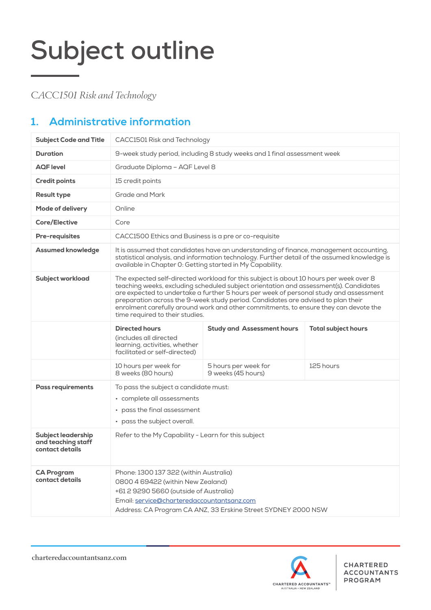*CACC1501 Risk and Technology*

### **1. Administrative information**

| <b>Subject Code and Title</b>                                      | CACC1501 Risk and Technology                                                                                                                                                                                                                                                                                                                                                                                                                                                            |                                            |                            |  |  |
|--------------------------------------------------------------------|-----------------------------------------------------------------------------------------------------------------------------------------------------------------------------------------------------------------------------------------------------------------------------------------------------------------------------------------------------------------------------------------------------------------------------------------------------------------------------------------|--------------------------------------------|----------------------------|--|--|
| <b>Duration</b>                                                    | 9-week study period, including 8 study weeks and 1 final assessment week                                                                                                                                                                                                                                                                                                                                                                                                                |                                            |                            |  |  |
| <b>AQF</b> level                                                   | Graduate Diploma - AQF Level 8                                                                                                                                                                                                                                                                                                                                                                                                                                                          |                                            |                            |  |  |
| <b>Credit points</b>                                               | 15 credit points                                                                                                                                                                                                                                                                                                                                                                                                                                                                        |                                            |                            |  |  |
| <b>Result type</b>                                                 | <b>Grade and Mark</b>                                                                                                                                                                                                                                                                                                                                                                                                                                                                   |                                            |                            |  |  |
| <b>Mode of delivery</b>                                            | Online                                                                                                                                                                                                                                                                                                                                                                                                                                                                                  |                                            |                            |  |  |
| <b>Core/Elective</b>                                               | Core                                                                                                                                                                                                                                                                                                                                                                                                                                                                                    |                                            |                            |  |  |
| <b>Pre-requisites</b>                                              | CACC1500 Ethics and Business is a pre or co-requisite                                                                                                                                                                                                                                                                                                                                                                                                                                   |                                            |                            |  |  |
| <b>Assumed knowledge</b>                                           | It is assumed that candidates have an understanding of finance, management accounting,<br>statistical analysis, and information technology. Further detail of the assumed knowledge is<br>available in Chapter 0: Getting started in My Capability.                                                                                                                                                                                                                                     |                                            |                            |  |  |
| <b>Subject workload</b>                                            | The expected self-directed workload for this subject is about 10 hours per week over 8<br>teaching weeks, excluding scheduled subject orientation and assessment(s). Candidates<br>are expected to undertake a further 5 hours per week of personal study and assessment<br>preparation across the 9-week study period. Candidates are advised to plan their<br>enrolment carefully around work and other commitments, to ensure they can devote the<br>time required to their studies. |                                            |                            |  |  |
|                                                                    | <b>Directed hours</b><br>(includes all directed<br>learning, activities, whether<br>facilitated or self-directed)                                                                                                                                                                                                                                                                                                                                                                       | <b>Study and Assessment hours</b>          | <b>Total subject hours</b> |  |  |
|                                                                    | 10 hours per week for<br>8 weeks (80 hours)                                                                                                                                                                                                                                                                                                                                                                                                                                             | 5 hours per week for<br>9 weeks (45 hours) | 125 hours                  |  |  |
| <b>Pass requirements</b>                                           | To pass the subject a candidate must:<br>• complete all assessments<br>pass the final assessment<br>$\bullet$<br>• pass the subject overall.                                                                                                                                                                                                                                                                                                                                            |                                            |                            |  |  |
| <b>Subject leadership</b><br>and teaching staff<br>contact details | Refer to the My Capability - Learn for this subject                                                                                                                                                                                                                                                                                                                                                                                                                                     |                                            |                            |  |  |
| <b>CA Program</b><br>contact details                               | Phone: 1300 137 322 (within Australia)<br>0800 4 69422 (within New Zealand)<br>+61 2 9290 5660 (outside of Australia)<br>Email: service@charteredaccountantsanz.com<br>Address: CA Program CA ANZ, 33 Erskine Street SYDNEY 2000 NSW                                                                                                                                                                                                                                                    |                                            |                            |  |  |

charteredaccountantsanz.com

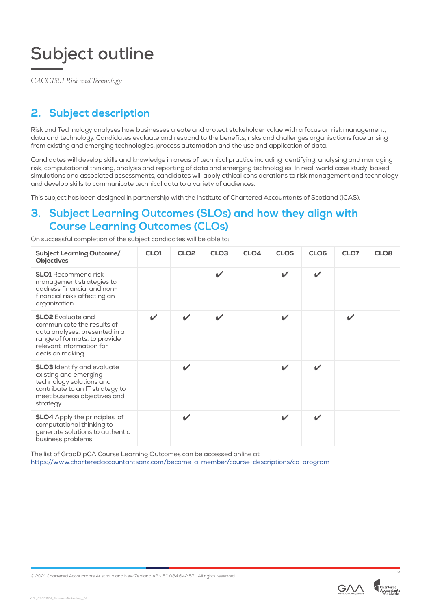*CACC1501 Risk and Technology*

### **2. Subject description**

Risk and Technology analyses how businesses create and protect stakeholder value with a focus on risk management, data and technology. Candidates evaluate and respond to the benefits, risks and challenges organisations face arising from existing and emerging technologies, process automation and the use and application of data.

Candidates will develop skills and knowledge in areas of technical practice including identifying, analysing and managing risk, computational thinking, analysis and reporting of data and emerging technologies. In real-world case study-based simulations and associated assessments, candidates will apply ethical considerations to risk management and technology and develop skills to communicate technical data to a variety of audiences.

This subject has been designed in partnership with the Institute of Chartered Accountants of Scotland (ICAS).

#### **3. Subject Learning Outcomes (SLOs) and how they align with Course Learning Outcomes (CLOs)**

On successful completion of the subject candidates will be able to:

| <b>Subject Learning Outcome/</b><br><b>Objectives</b>                                                                                                                  | CLO <sub>1</sub>           | CLO <sub>2</sub>         | CLO <sub>3</sub>           | CLO <sub>4</sub> | CLO <sub>5</sub>           | CLO <sub>6</sub>           | CLO7         | CLO <sub>8</sub> |
|------------------------------------------------------------------------------------------------------------------------------------------------------------------------|----------------------------|--------------------------|----------------------------|------------------|----------------------------|----------------------------|--------------|------------------|
| <b>SLO1</b> Recommend risk<br>management strategies to<br>address financial and non-<br>financial risks affecting an<br>organization                                   |                            |                          | ✓                          |                  | $\mathbf{v}$               | $\boldsymbol{\mathscr{L}}$ |              |                  |
| <b>SLO2</b> Evaluate and<br>communicate the results of<br>data analyses, presented in a<br>range of formats, to provide<br>relevant information for<br>decision making | $\boldsymbol{\mathcal{U}}$ | $\overline{\mathscr{L}}$ | $\boldsymbol{\mathcal{U}}$ |                  | $\checkmark$               |                            | $\checkmark$ |                  |
| <b>SLO3</b> Identify and evaluate<br>existing and emerging<br>technology solutions and<br>contribute to an IT strategy to<br>meet business objectives and<br>strategy  |                            | ✓                        |                            |                  | $\boldsymbol{\mathscr{L}}$ | $\boldsymbol{\mathscr{C}}$ |              |                  |
| <b>SLO4</b> Apply the principles of<br>computational thinking to<br>generate solutions to authentic<br>business problems                                               |                            | ✓                        |                            |                  | $\boldsymbol{\mathscr{L}}$ | $\boldsymbol{\mathcal{U}}$ |              |                  |

The list of GradDipCA Course Learning Outcomes can be accessed online at https://www.charteredaccountantsanz.com/become-a-member/course-descriptions/ca-program

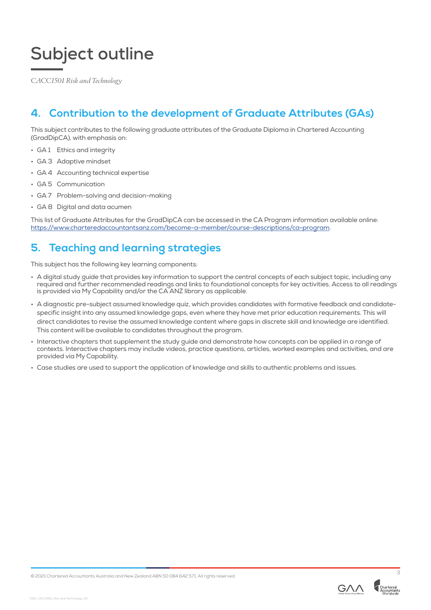*CACC1501 Risk and Technology*

#### **4. Contribution to the development of Graduate Attributes (GAs)**

This subject contributes to the following graduate attributes of the Graduate Diploma in Chartered Accounting (GradDipCA), with emphasis on:

- GA 1 Ethics and integrity
- GA 3 Adaptive mindset
- GA 4 Accounting technical expertise
- GA 5 Communication
- GA 7 Problem-solving and decision-making
- GA 8 Digital and data acumen

This list of Graduate Attributes for the GradDipCA can be accessed in the CA Program information available online: https://www.charteredaccountantsanz.com/become-a-member/course-descriptions/ca-program.

#### **5. Teaching and learning strategies**

This subject has the following key learning components:

- A digital study guide that provides key information to support the central concepts of each subject topic, including any required and further recommended readings and links to foundational concepts for key activities. Access to all readings is provided via My Capability and/or the CA ANZ library as applicable.
- A diagnostic pre-subject assumed knowledge quiz, which provides candidates with formative feedback and candidatespecific insight into any assumed knowledge gaps, even where they have met prior education requirements. This will direct candidates to revise the assumed knowledge content where gaps in discrete skill and knowledge are identified. This content will be available to candidates throughout the program.
- Interactive chapters that supplement the study guide and demonstrate how concepts can be applied in a range of contexts. Interactive chapters may include videos, practice questions, articles, worked examples and activities, and are provided via My Capability.
- Case studies are used to support the application of knowledge and skills to authentic problems and issues.



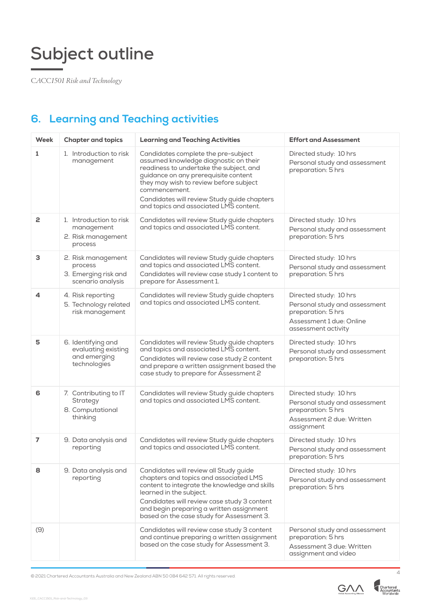*CACC1501 Risk and Technology*

### **6. Learning and Teaching activities**

| Week           | <b>Chapter and topics</b>                                                  | <b>Learning and Teaching Activities</b>                                                                                                                                                                                                                                                                             | <b>Effort and Assessment</b>                                                                                                     |
|----------------|----------------------------------------------------------------------------|---------------------------------------------------------------------------------------------------------------------------------------------------------------------------------------------------------------------------------------------------------------------------------------------------------------------|----------------------------------------------------------------------------------------------------------------------------------|
| 1              | 1. Introduction to risk<br>management                                      | Candidates complete the pre-subject<br>assumed knowledge diagnostic on their<br>readiness to undertake the subject, and<br>guidance on any prerequisite content<br>they may wish to review before subject<br>commencement.<br>Candidates will review Study guide chapters<br>and topics and associated LMS content. | Directed study: 10 hrs<br>Personal study and assessment<br>preparation: 5 hrs                                                    |
| 2              | 1. Introduction to risk<br>management<br>2. Risk management<br>process     | Candidates will review Study guide chapters<br>and topics and associated LMS content.                                                                                                                                                                                                                               | Directed study: 10 hrs<br>Personal study and assessment<br>preparation: 5 hrs                                                    |
| 3              | 2. Risk management<br>process<br>3. Emerging risk and<br>scenario analysis | Candidates will review Study guide chapters<br>and topics and associated LMS content.<br>Candidates will review case study 1 content to<br>prepare for Assessment 1.                                                                                                                                                | Directed study: 10 hrs<br>Personal study and assessment<br>preparation: 5 hrs                                                    |
| 4              | 4. Risk reporting<br>5. Technology related<br>risk management              | Candidates will review Study guide chapters<br>and topics and associated LMS content.                                                                                                                                                                                                                               | Directed study: 10 hrs<br>Personal study and assessment<br>preparation: 5 hrs<br>Assessment 1 due: Online<br>assessment activity |
| 5              | 6. Identifying and<br>evaluating existing<br>and emerging<br>technologies  | Candidates will review Study guide chapters<br>and topics and associated LMS content.<br>Candidates will review case study 2 content<br>and prepare a written assignment based the<br>case study to prepare for Assessment 2                                                                                        | Directed study: 10 hrs<br>Personal study and assessment<br>preparation: 5 hrs                                                    |
| 6              | 7. Contributing to IT<br>Strategy<br>8. Computational<br>thinking          | Candidates will review Study guide chapters<br>and topics and associated LMS content.                                                                                                                                                                                                                               | Directed study: 10 hrs<br>Personal study and assessment<br>preparation: 5 hrs<br>Assessment 2 due: Written<br>assignment         |
| $\overline{ }$ | 9. Data analysis and<br>reporting                                          | Candidates will review Study guide chapters<br>and topics and associated LMS content.                                                                                                                                                                                                                               | Directed study: 10 hrs<br>Personal study and assessment<br>preparation: 5 hrs                                                    |
| 8              | 9. Data analysis and<br>reporting                                          | Candidates will review all Study guide<br>chapters and topics and associated LMS<br>content to integrate the knowledge and skills<br>learned in the subject.<br>Candidates will review case study 3 content<br>and begin preparing a written assignment<br>based on the case study for Assessment 3.                | Directed study: 10 hrs<br>Personal study and assessment<br>preparation: 5 hrs                                                    |
| (9)            |                                                                            | Candidates will review case study 3 content<br>and continue preparing a written assignment<br>based on the case study for Assessment 3.                                                                                                                                                                             | Personal study and assessment<br>preparation: 5 hrs<br>Assessment 3 due: Written<br>assignment and video                         |

© 2021 Chartered Accountants Australia and New Zealand ABN 50 084 642 571. All rights reserved. <sup>4</sup>

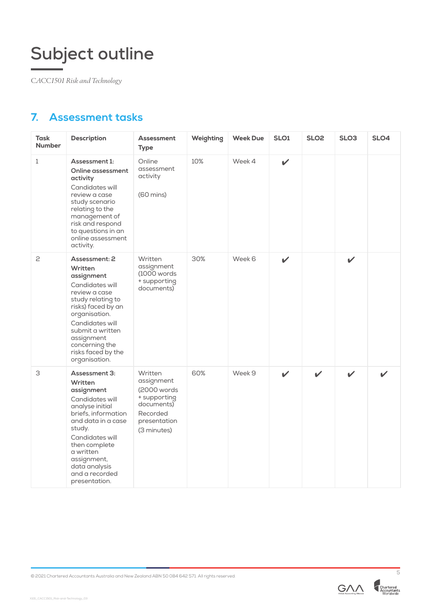*CACC1501 Risk and Technology*

### **7. Assessment tasks**

| Task<br><b>Number</b> | <b>Description</b>                                                                                                                                                                                                                                      | <b>Assessment</b><br><b>Type</b>                                                                               | Weighting | <b>Week Due</b> | SLO <sub>1</sub> | SLO <sub>2</sub>           | SLO <sub>3</sub> | SLO4 |
|-----------------------|---------------------------------------------------------------------------------------------------------------------------------------------------------------------------------------------------------------------------------------------------------|----------------------------------------------------------------------------------------------------------------|-----------|-----------------|------------------|----------------------------|------------------|------|
| $\mathbf{1}$          | Assessment 1:<br>Online assessment<br>activity<br>Candidates will<br>review a case<br>study scenario<br>relating to the<br>management of<br>risk and respond<br>to questions in an<br>online assessment<br>activity.                                    | Online<br>assessment<br>activity<br>$(60 \text{ mins})$                                                        | 10%       | Week 4          | $\mathbf v$      |                            |                  |      |
| 2                     | Assessment: 2<br>Written<br>assignment<br>Candidates will<br>review a case<br>study relating to<br>risks) faced by an<br>organisation.<br>Candidates will<br>submit a written<br>assignment<br>concerning the<br>risks faced by the<br>organisation.    | Written<br>assignment<br>$(1000$ words<br>+ supporting<br>documents)                                           | 30%       | Week 6          | $\mathbf v$      |                            | $\mathbf{v}$     |      |
| З                     | Assessment 3:<br>Written<br>assignment<br>Candidates will<br>analyse initial<br>briefs. information<br>and data in a case<br>study.<br>Candidates will<br>then complete<br>a written<br>assignment,<br>data analysis<br>and a recorded<br>presentation. | Written<br>assignment<br>(2000 words)<br>+ supporting<br>documents)<br>Recorded<br>presentation<br>(3 minutes) | 60%       | Week 9          | $\mathbf{v}$     | $\boldsymbol{\mathscr{L}}$ | $\mathbf v$      | ✔    |



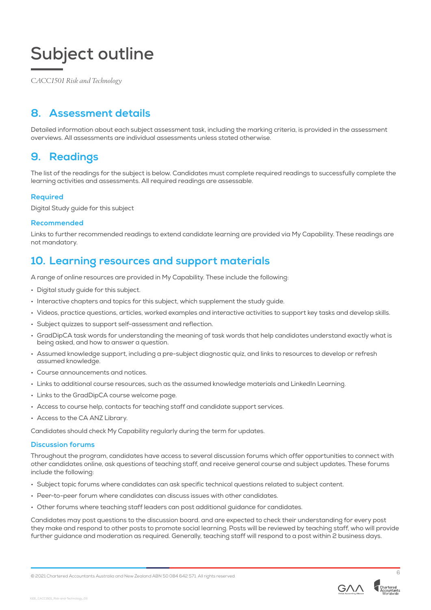*CACC1501 Risk and Technology*

#### **8. Assessment details**

Detailed information about each subject assessment task, including the marking criteria, is provided in the assessment overviews. All assessments are individual assessments unless stated otherwise.

#### **9. Readings**

The list of the readings for the subject is below. Candidates must complete required readings to successfully complete the learning activities and assessments. All required readings are assessable.

#### **Required**

Digital Study guide for this subject

#### **Recommended**

Links to further recommended readings to extend candidate learning are provided via My Capability. These readings are not mandatory.

#### **10. Learning resources and support materials**

A range of online resources are provided in My Capability. These include the following:

- Digital study guide for this subject.
- Interactive chapters and topics for this subject, which supplement the study guide.
- Videos, practice questions, articles, worked examples and interactive activities to support key tasks and develop skills.
- Subject quizzes to support self-assessment and reflection.
- GradDipCA task words for understanding the meaning of task words that help candidates understand exactly what is being asked, and how to answer a question.
- Assumed knowledge support, including a pre-subject diagnostic quiz, and links to resources to develop or refresh assumed knowledge.
- Course announcements and notices.
- Links to additional course resources, such as the assumed knowledge materials and LinkedIn Learning.
- Links to the GradDipCA course welcome page.
- Access to course help, contacts for teaching staff and candidate support services.
- Access to the CA ANZ Library.

Candidates should check My Capability regularly during the term for updates.

#### **Discussion forums**

X101\_CACC1501\_Risk-and-Technology\_03

Throughout the program, candidates have access to several discussion forums which offer opportunities to connect with other candidates online, ask questions of teaching staff, and receive general course and subject updates. These forums include the following:

- Subject topic forums where candidates can ask specific technical questions related to subject content.
- Peer-to-peer forum where candidates can discuss issues with other candidates.
- Other forums where teaching staff leaders can post additional guidance for candidates.

Candidates may post questions to the discussion board. and are expected to check their understanding for every post they make and respond to other posts to promote social learning. Posts will be reviewed by teaching staff, who will provide further guidance and moderation as required. Generally, teaching staff will respond to a post within 2 business days.



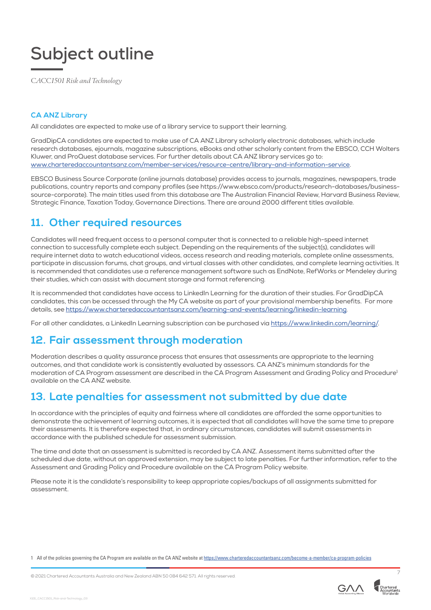*CACC1501 Risk and Technology*

#### **CA ANZ Library**

All candidates are expected to make use of a library service to support their learning.

GradDipCA candidates are expected to make use of CA ANZ Library scholarly electronic databases, which include research databases, ejournals, magazine subscriptions, eBooks and other scholarly content from the EBSCO, CCH Wolters Kluwer, and ProQuest database services. For further details about CA ANZ library services go to: www.charteredaccountantsanz.com/member-services/resource-centre/library-and-information-service.

EBSCO Business Source Corporate (online journals database) provides access to journals, magazines, newspapers, trade publications, country reports and company profiles (see https://www.ebsco.com/products/research-databases/businesssource-corporate). The main titles used from this database are The Australian Financial Review, Harvard Business Review, Strategic Finance, Taxation Today, Governance Directions. There are around 2000 different titles available.

#### **11. Other required resources**

Candidates will need frequent access to a personal computer that is connected to a reliable high-speed internet connection to successfully complete each subject. Depending on the requirements of the subject(s), candidates will require internet data to watch educational videos, access research and reading materials, complete online assessments, participate in discussion forums, chat groups, and virtual classes with other candidates, and complete learning activities. It is recommended that candidates use a reference management software such as EndNote, RefWorks or Mendeley during their studies, which can assist with document storage and format referencing.

It is recommended that candidates have access to LinkedIn Learning for the duration of their studies. For GradDipCA candidates, this can be accessed through the My CA website as part of your provisional membership benefits. For more details, see https://www.charteredaccountantsanz.com/learning-and-events/learning/linkedin-learning.

For all other candidates, a LinkedIn Learning subscription can be purchased via https://www.linkedin.com/learning/.

#### **12. Fair assessment through moderation**

Moderation describes a quality assurance process that ensures that assessments are appropriate to the learning outcomes, and that candidate work is consistently evaluated by assessors. CA ANZ's minimum standards for the moderation of CA Program assessment are described in the CA Program Assessment and Grading Policy and Procedure<sup>1</sup> available on the CA ANZ website.

#### **13. Late penalties for assessment not submitted by due date**

In accordance with the principles of equity and fairness where all candidates are afforded the same opportunities to demonstrate the achievement of learning outcomes, it is expected that all candidates will have the same time to prepare their assessments. It is therefore expected that, in ordinary circumstances, candidates will submit assessments in accordance with the published schedule for assessment submission.

The time and date that an assessment is submitted is recorded by CA ANZ. Assessment items submitted after the scheduled due date, without an approved extension, may be subject to late penalties. For further information, refer to the Assessment and Grading Policy and Procedure available on the CA Program Policy website.

Please note it is the candidate's responsibility to keep appropriate copies/backups of all assignments submitted for assessment.

1 All of the policies governing the CA Program are available on the CA ANZ website at https://www.charteredaccountantsanz.com/become-a-member/ca-program-policies

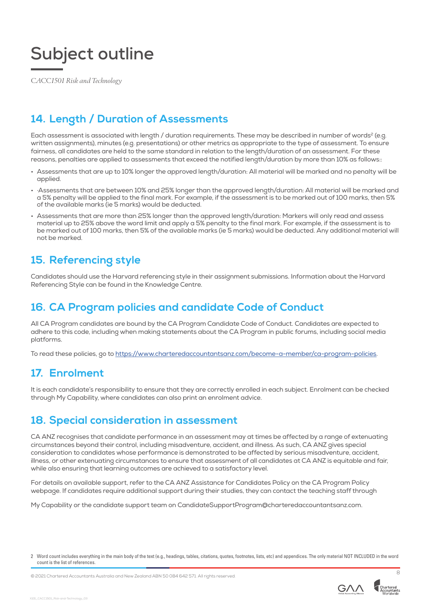*CACC1501 Risk and Technology*

### **14. Length / Duration of Assessments**

Each assessment is associated with length / duration requirements. These may be described in number of words<sup>2</sup> (e.g. written assignments), minutes (e.g. presentations) or other metrics as appropriate to the type of assessment. To ensure fairness, all candidates are held to the same standard in relation to the length/duration of an assessment. For these reasons, penalties are applied to assessments that exceed the notified length/duration by more than 10% as follows::

- Assessments that are up to 10% longer the approved length/duration: All material will be marked and no penalty will be applied.
- ·Assessments that are between 10% and 25% longer than the approved length/duration: All material will be marked and a 5% penalty will be applied to the final mark. For example, if the assessment is to be marked out of 100 marks, then 5% of the available marks (ie 5 marks) would be deducted.
- Assessments that are more than 25% longer than the approved length/duration: Markers will only read and assess material up to 25% above the word limit and apply a 5% penalty to the final mark. For example, if the assessment is to be marked out of 100 marks, then 5% of the available marks (ie 5 marks) would be deducted. Any additional material will not be marked.

#### **15. Referencing style**

Candidates should use the Harvard referencing style in their assignment submissions. Information about the Harvard Referencing Style can be found in the Knowledge Centre.

#### **16. CA Program policies and candidate Code of Conduct**

All CA Program candidates are bound by the CA Program Candidate Code of Conduct. Candidates are expected to adhere to this code, including when making statements about the CA Program in public forums, including social media platforms.

To read these policies, go to https://www.charteredaccountantsanz.com/become-a-member/ca-program-policies.

#### **17. Enrolment**

It is each candidate's responsibility to ensure that they are correctly enrolled in each subject. Enrolment can be checked through My Capability, where candidates can also print an enrolment advice.

#### **18. Special consideration in assessment**

CA ANZ recognises that candidate performance in an assessment may at times be affected by a range of extenuating circumstances beyond their control, including misadventure, accident, and illness. As such, CA ANZ gives special consideration to candidates whose performance is demonstrated to be affected by serious misadventure, accident, illness, or other extenuating circumstances to ensure that assessment of all candidates at CA ANZ is equitable and fair, while also ensuring that learning outcomes are achieved to a satisfactory level.

For details on available support, refer to the CA ANZ Assistance for Candidates Policy on the CA Program Policy webpage. If candidates require additional support during their studies, they can contact the teaching staff through

My Capability or the candidate support team on CandidateSupportProgram@charteredaccountantsanz.com.

© 2021 Chartered Accountants Australia and New Zealand ABN 50 084 642 571. All rights reserved. <sup>8</sup>



<sup>2</sup> Word count includes everything in the main body of the text (e.g., headings, tables, citations, quotes, footnotes, lists, etc) and appendices. The only material NOT INCLUDED in the word count is the list of references.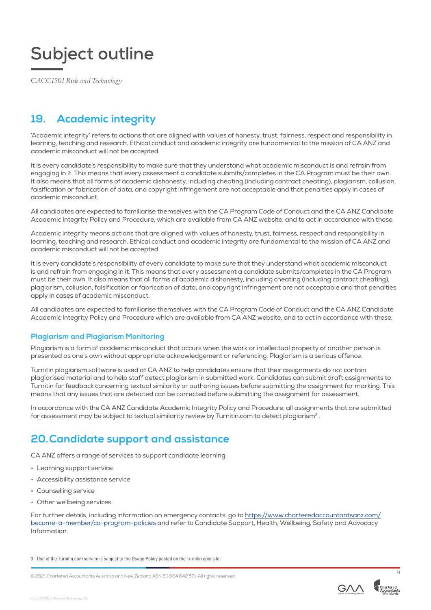*CACC1501 Risk and Technology*

### **19. Academic integrity**

'Academic integrity' refers to actions that are aligned with values of honesty, trust, fairness, respect and responsibility in learning, teaching and research. Ethical conduct and academic integrity are fundamental to the mission of CA ANZ and academic misconduct will not be accepted.

It is every candidate's responsibility to make sure that they understand what academic misconduct is and refrain from engaging in it. This means that every assessment a candidate submits/completes in the CA Program must be their own. It also means that all forms of academic dishonesty, including cheating (including contract cheating), plagiarism, collusion, falsification or fabrication of data, and copyright infringement are not acceptable and that penalties apply in cases of academic misconduct.

All candidates are expected to familiarise themselves with the CA Program Code of Conduct and the CA ANZ Candidate Academic Integrity Policy and Procedure, which are available from CA ANZ website, and to act in accordance with these.

Academic integrity means actions that are aligned with values of honesty, trust, fairness, respect and responsibility in learning, teaching and research. Ethical conduct and academic integrity are fundamental to the mission of CA ANZ and academic misconduct will not be accepted.

It is every candidate's responsibility of every candidate to make sure that they understand what academic misconduct is and refrain from engaging in it. This means that every assessment a candidate submits/completes in the CA Program must be their own. It also means that all forms of academic dishonesty, including cheating (including contract cheating), plagiarism, collusion, falsification or fabrication of data, and copyright infringement are not acceptable and that penalties apply in cases of academic misconduct.

All candidates are expected to familiarise themselves with the CA Program Code of Conduct and the CA ANZ Candidate Academic Integrity Policy and Procedure which are available from CA ANZ website, and to act in accordance with these.

#### **Plagiarism and Plagiarism Monitoring**

Plagiarism is a form of academic misconduct that occurs when the work or intellectual property of another person is presented as one's own without appropriate acknowledgement or referencing. Plagiarism is a serious offence.

Turnitin plagiarism software is used at CA ANZ to help candidates ensure that their assignments do not contain plagiarised material and to help staff detect plagiarism in submitted work. Candidates can submit draft assignments to Turnitin for feedback concerning textual similarity or authoring issues before submitting the assignment for marking. This means that any issues that are detected can be corrected before submitting the assignment for assessment.

In accordance with the CA ANZ Candidate Academic Integrity Policy and Procedure, all assignments that are submitted for assessment may be subject to textual similarity review by Turnitin.com to detect plagiarism<sup>3</sup>.

#### **20.Candidate support and assistance**

CA ANZ offers a range of services to support candidate learning:

- Learning support service
- Accessibility assistance service
- Counselling service
- Other wellbeing services

For further details, including information on emergency contacts, go to https://www.charteredaccountantsanz.com/ become-a-member/ca-program-policies and refer to Candidate Support, Health, Wellbeing, Safety and Advocacy Information.

```
3 Use of the Turnitin.com service is subject to the Usage Policy posted on the Turnitin.com site.
```


X101\_CACC1501\_Risk-and-Technology\_03